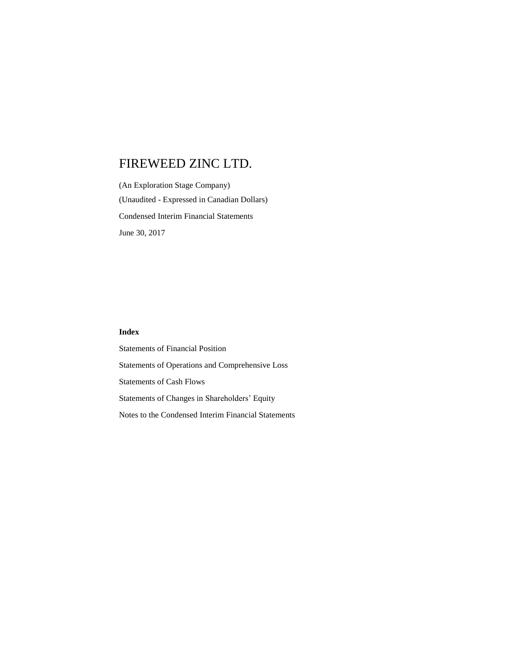(An Exploration Stage Company) (Unaudited - Expressed in Canadian Dollars) Condensed Interim Financial Statements June 30, 2017

### **Index**

Statements of Financial Position Statements of Operations and Comprehensive Loss Statements of Cash Flows Statements of Changes in Shareholders' Equity Notes to the Condensed Interim Financial Statements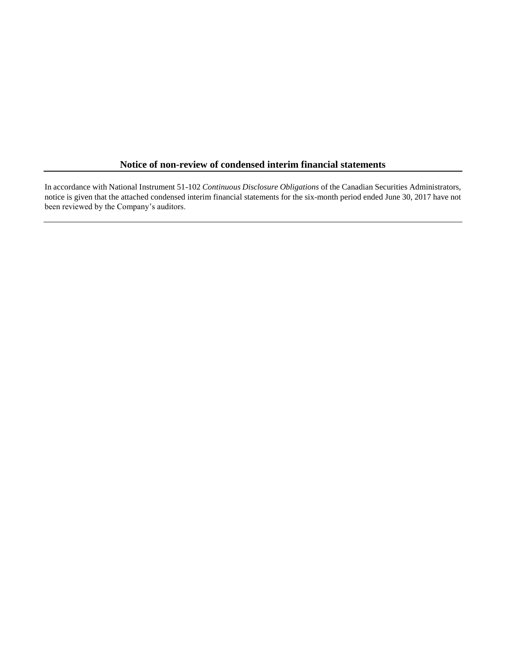# **Notice of non-review of condensed interim financial statements**

In accordance with National Instrument 51-102 *Continuous Disclosure Obligations* of the Canadian Securities Administrators, notice is given that the attached condensed interim financial statements for the six-month period ended June 30, 2017 have not been reviewed by the Company's auditors.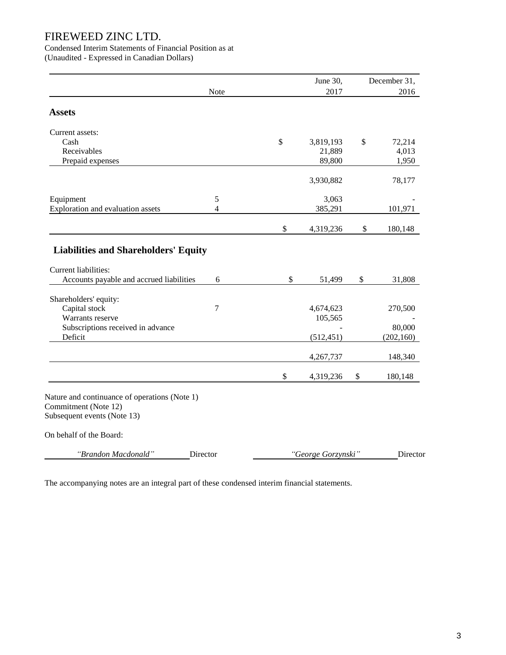Condensed Interim Statements of Financial Position as at

(Unaudited - Expressed in Canadian Dollars)

|                                                                                                                 |          |               | June 30,             | December 31,  |
|-----------------------------------------------------------------------------------------------------------------|----------|---------------|----------------------|---------------|
|                                                                                                                 | Note     |               | 2017                 | 2016          |
| <b>Assets</b>                                                                                                   |          |               |                      |               |
| Current assets:                                                                                                 |          |               |                      |               |
| Cash                                                                                                            |          | $\mathcal{S}$ | 3,819,193            | \$<br>72,214  |
| Receivables                                                                                                     |          |               | 21,889               | 4,013         |
| Prepaid expenses                                                                                                |          |               | 89,800               | 1,950         |
|                                                                                                                 |          |               | 3,930,882            | 78,177        |
| Equipment                                                                                                       | 5        |               | 3,063                |               |
| Exploration and evaluation assets                                                                               | 4        |               | 385,291              | 101,971       |
|                                                                                                                 |          | \$            | 4,319,236            | \$<br>180,148 |
| <b>Liabilities and Shareholders' Equity</b><br>Current liabilities:<br>Accounts payable and accrued liabilities | 6        | \$            | 51,499               | \$<br>31,808  |
|                                                                                                                 |          |               |                      |               |
| Shareholders' equity:                                                                                           |          |               |                      |               |
| Capital stock<br>Warrants reserve                                                                               | 7        |               | 4,674,623<br>105,565 | 270,500       |
| Subscriptions received in advance                                                                               |          |               |                      | 80,000        |
| Deficit                                                                                                         |          |               | (512, 451)           | (202, 160)    |
|                                                                                                                 |          |               | 4,267,737            | 148,340       |
|                                                                                                                 |          | \$            | 4,319,236            | \$<br>180,148 |
| Nature and continuance of operations (Note 1)<br>Commitment (Note 12)<br>Subsequent events (Note 13)            |          |               |                      |               |
| On behalf of the Board:                                                                                         |          |               |                      |               |
| "Brandon Macdonald"                                                                                             | Director |               | "George Gorzynski"   | Director      |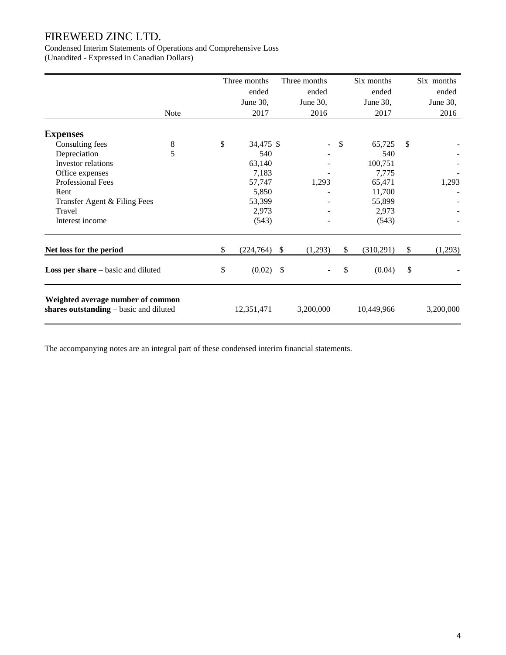Condensed Interim Statements of Operations and Comprehensive Loss (Unaudited - Expressed in Canadian Dollars)

|                                                                             |             | Three months     |    | Three months             | Six months      |               | Six months |
|-----------------------------------------------------------------------------|-------------|------------------|----|--------------------------|-----------------|---------------|------------|
|                                                                             |             | ended            |    | ended                    | ended           |               | ended      |
|                                                                             |             | June 30,         |    | June 30,                 | June 30,        |               | June 30,   |
|                                                                             | <b>Note</b> | 2017             |    | 2016                     | 2017            |               | 2016       |
| <b>Expenses</b>                                                             |             |                  |    |                          |                 |               |            |
| Consulting fees                                                             | $\,8\,$     | \$<br>34,475 \$  |    | $\overline{\phantom{0}}$ | \$<br>65,725    | \$            |            |
| Depreciation                                                                | 5           | 540              |    |                          | 540             |               |            |
| Investor relations                                                          |             | 63,140           |    |                          | 100,751         |               |            |
| Office expenses                                                             |             | 7,183            |    |                          | 7,775           |               |            |
| Professional Fees                                                           |             | 57,747           |    | 1,293                    | 65,471          |               | 1,293      |
| Rent                                                                        |             | 5,850            |    |                          | 11,700          |               |            |
| Transfer Agent & Filing Fees                                                |             | 53,399           |    |                          | 55,899          |               |            |
| Travel                                                                      |             | 2,973            |    |                          | 2,973           |               |            |
| Interest income                                                             |             | (543)            |    |                          | (543)           |               |            |
| Net loss for the period                                                     |             | \$<br>(224, 764) | -S | (1,293)                  | \$<br>(310,291) | \$            | (1,293)    |
| <b>Loss per share</b> $-$ basic and diluted                                 |             | \$<br>(0.02)     | \$ |                          | \$<br>(0.04)    | $\mathcal{S}$ |            |
| Weighted average number of common<br>shares outstanding - basic and diluted |             | 12,351,471       |    | 3,200,000                | 10,449,966      |               | 3,200,000  |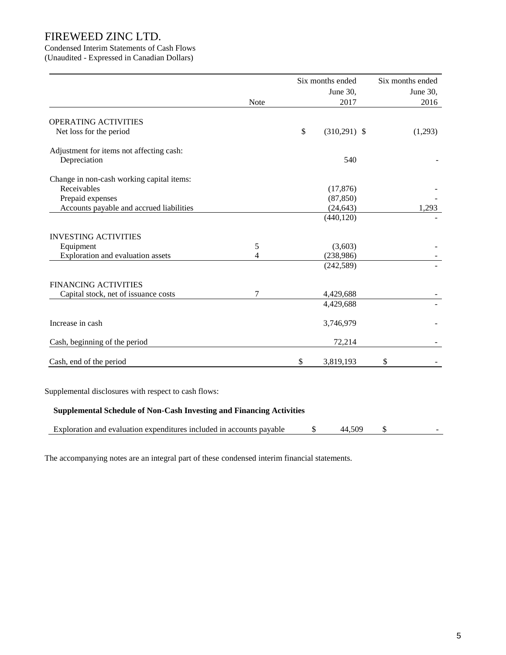# Condensed Interim Statements of Cash Flows

(Unaudited - Expressed in Canadian Dollars)

|                                           |      | Six months ended     | Six months ended |
|-------------------------------------------|------|----------------------|------------------|
|                                           |      | June 30,             | June 30,         |
|                                           | Note | 2017                 | 2016             |
| OPERATING ACTIVITIES                      |      |                      |                  |
| Net loss for the period                   |      | \$<br>$(310,291)$ \$ | (1,293)          |
| Adjustment for items not affecting cash:  |      |                      |                  |
| Depreciation                              |      | 540                  |                  |
| Change in non-cash working capital items: |      |                      |                  |
| Receivables                               |      | (17, 876)            |                  |
| Prepaid expenses                          |      | (87, 850)            |                  |
| Accounts payable and accrued liabilities  |      | (24, 643)            | 1,293            |
|                                           |      | (440, 120)           |                  |
| <b>INVESTING ACTIVITIES</b>               |      |                      |                  |
| Equipment                                 | 5    | (3,603)              |                  |
| Exploration and evaluation assets         | 4    | (238,986)            |                  |
|                                           |      | (242, 589)           |                  |
| <b>FINANCING ACTIVITIES</b>               |      |                      |                  |
| Capital stock, net of issuance costs      | 7    | 4,429,688            |                  |
|                                           |      | 4,429,688            |                  |
| Increase in cash                          |      | 3,746,979            |                  |
| Cash, beginning of the period             |      | 72,214               |                  |
| Cash, end of the period                   |      | \$<br>3,819,193      | \$               |

Supplemental disclosures with respect to cash flows:

## **Supplemental Schedule of Non-Cash Investing and Financing Activities**

| Exploration and evaluation expenditures included in accounts $P^{\sim}$<br><b>navable</b> |  |  |
|-------------------------------------------------------------------------------------------|--|--|
|                                                                                           |  |  |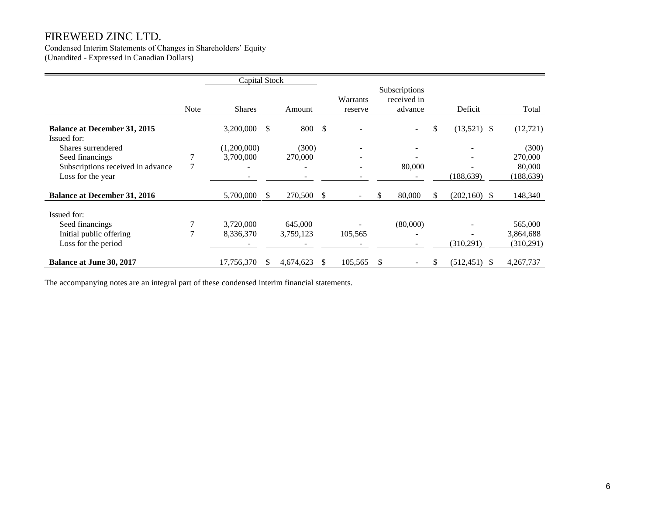Condensed Interim Statements of Changes in Shareholders' Equity (Unaudited - Expressed in Canadian Dollars)

|                                                           |      | Capital Stock            |                 |     |                     |                                         |    |     |                 |            |
|-----------------------------------------------------------|------|--------------------------|-----------------|-----|---------------------|-----------------------------------------|----|-----|-----------------|------------|
|                                                           | Note | <b>Shares</b>            | Amount          |     | Warrants<br>reserve | Subscriptions<br>received in<br>advance |    |     | Deficit         | Total      |
| <b>Balance at December 31, 2015</b><br><b>Issued for:</b> |      | 3,200,000                | \$<br>800       | -\$ |                     |                                         | ÷. | \$  | $(13,521)$ \$   | (12, 721)  |
| Shares surrendered                                        |      | (1,200,000)              | (300)           |     |                     |                                         |    |     |                 | (300)      |
| Seed financings                                           |      | 3,700,000                | 270,000         |     |                     |                                         |    |     |                 | 270,000    |
| Subscriptions received in advance                         | 7    | $\overline{\phantom{a}}$ |                 |     |                     | 80,000                                  |    |     |                 | 80,000     |
| Loss for the year                                         |      |                          |                 |     |                     |                                         |    |     | (188, 639)      | (188, 639) |
| <b>Balance at December 31, 2016</b>                       |      | 5,700,000                | \$<br>270,500   | S   |                     | 80,000<br>S.                            |    | \$. | $(202, 160)$ \$ | 148,340    |
| Issued for:                                               |      |                          |                 |     |                     |                                         |    |     |                 |            |
| Seed financings                                           |      | 3,720,000                | 645,000         |     |                     | (80,000)                                |    |     |                 | 565,000    |
| Initial public offering                                   |      | 8,336,370                | 3,759,123       |     | 105,565             |                                         |    |     |                 | 3,864,688  |
| Loss for the period                                       |      |                          |                 |     |                     |                                         |    |     | (310,291)       | (310,291)  |
| <b>Balance at June 30, 2017</b>                           |      | 17,756,370               | \$<br>4,674,623 | S   | 105,565             | \$                                      | -  | \$  | $(512, 451)$ \$ | 4,267,737  |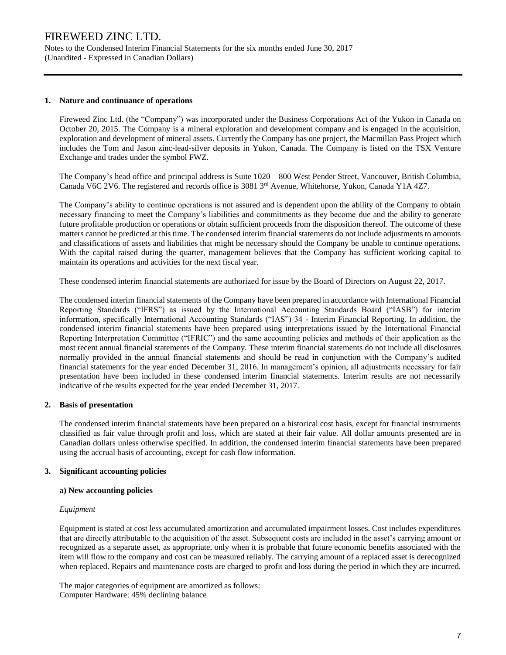Notes to the Condensed Interim Financial Statements for the six months ended June 30, 2017 (Unaudited - Expressed in Canadian Dollars)

### **1. Nature and continuance of operations**

Fireweed Zinc Ltd. (the "Company") was incorporated under the Business Corporations Act of the Yukon in Canada on October 20, 2015. The Company is a mineral exploration and development company and is engaged in the acquisition, exploration and development of mineral assets. Currently the Company has one project, the Macmillan Pass Project which includes the Tom and Jason zinc-lead-silver deposits in Yukon, Canada. The Company is listed on the TSX Venture Exchange and trades under the symbol FWZ.

The Company's head office and principal address is Suite 1020 – 800 West Pender Street, Vancouver, British Columbia, Canada V6C 2V6. The registered and records office is 3081 3<sup>rd</sup> Avenue, Whitehorse, Yukon, Canada Y1A 4Z7.

The Company's ability to continue operations is not assured and is dependent upon the ability of the Company to obtain necessary financing to meet the Company's liabilities and commitments as they become due and the ability to generate future profitable production or operations or obtain sufficient proceeds from the disposition thereof. The outcome of these matters cannot be predicted at this time. The condensed interim financial statements do not include adjustments to amounts and classifications of assets and liabilities that might be necessary should the Company be unable to continue operations. With the capital raised during the quarter, management believes that the Company has sufficient working capital to maintain its operations and activities for the next fiscal year.

These condensed interim financial statements are authorized for issue by the Board of Directors on August 22, 2017.

The condensed interim financial statements of the Company have been prepared in accordance with International Financial Reporting Standards ("IFRS") as issued by the International Accounting Standards Board ("IASB") for interim information, specifically International Accounting Standards ("IAS") 34 - Interim Financial Reporting. In addition, the condensed interim financial statements have been prepared using interpretations issued by the International Financial Reporting Interpretation Committee ("IFRIC") and the same accounting policies and methods of their application as the most recent annual financial statements of the Company. These interim financial statements do not include all disclosures normally provided in the annual financial statements and should be read in conjunction with the Company's audited financial statements for the year ended December 31, 2016. In management's opinion, all adjustments necessary for fair presentation have been included in these condensed interim financial statements. Interim results are not necessarily indicative of the results expected for the year ended December 31, 2017.

### **2. Basis of presentation**

The condensed interim financial statements have been prepared on a historical cost basis, except for financial instruments classified as fair value through profit and loss, which are stated at their fair value. All dollar amounts presented are in Canadian dollars unless otherwise specified. In addition, the condensed interim financial statements have been prepared using the accrual basis of accounting, except for cash flow information.

### **3. Significant accounting policies**

### **a) New accounting policies**

### *Equipment*

Equipment is stated at cost less accumulated amortization and accumulated impairment losses. Cost includes expenditures that are directly attributable to the acquisition of the asset. Subsequent costs are included in the asset's carrying amount or recognized as a separate asset, as appropriate, only when it is probable that future economic benefits associated with the item will flow to the company and cost can be measured reliably. The carrying amount of a replaced asset is derecognized when replaced. Repairs and maintenance costs are charged to profit and loss during the period in which they are incurred.

The major categories of equipment are amortized as follows: Computer Hardware: 45% declining balance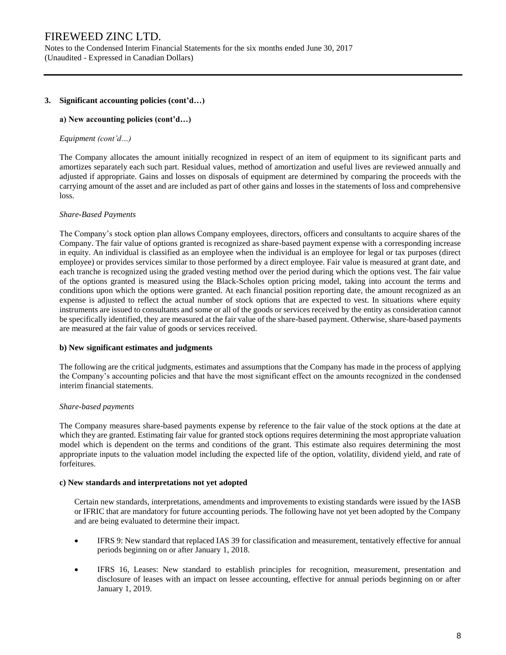Notes to the Condensed Interim Financial Statements for the six months ended June 30, 2017 (Unaudited - Expressed in Canadian Dollars)

### **3. Significant accounting policies (cont'd…)**

### **a) New accounting policies (cont'd…)**

### *Equipment (cont'd…)*

The Company allocates the amount initially recognized in respect of an item of equipment to its significant parts and amortizes separately each such part. Residual values, method of amortization and useful lives are reviewed annually and adjusted if appropriate. Gains and losses on disposals of equipment are determined by comparing the proceeds with the carrying amount of the asset and are included as part of other gains and losses in the statements of loss and comprehensive loss.

#### *Share-Based Payments*

The Company's stock option plan allows Company employees, directors, officers and consultants to acquire shares of the Company. The fair value of options granted is recognized as share-based payment expense with a corresponding increase in equity. An individual is classified as an employee when the individual is an employee for legal or tax purposes (direct employee) or provides services similar to those performed by a direct employee. Fair value is measured at grant date, and each tranche is recognized using the graded vesting method over the period during which the options vest. The fair value of the options granted is measured using the Black-Scholes option pricing model, taking into account the terms and conditions upon which the options were granted. At each financial position reporting date, the amount recognized as an expense is adjusted to reflect the actual number of stock options that are expected to vest. In situations where equity instruments are issued to consultants and some or all of the goods or services received by the entity as consideration cannot be specifically identified, they are measured at the fair value of the share-based payment. Otherwise, share-based payments are measured at the fair value of goods or services received.

#### **b) New significant estimates and judgments**

The following are the critical judgments, estimates and assumptions that the Company has made in the process of applying the Company's accounting policies and that have the most significant effect on the amounts recognized in the condensed interim financial statements.

#### *Share-based payments*

The Company measures share-based payments expense by reference to the fair value of the stock options at the date at which they are granted. Estimating fair value for granted stock options requires determining the most appropriate valuation model which is dependent on the terms and conditions of the grant. This estimate also requires determining the most appropriate inputs to the valuation model including the expected life of the option, volatility, dividend yield, and rate of forfeitures.

#### **c) New standards and interpretations not yet adopted**

Certain new standards, interpretations, amendments and improvements to existing standards were issued by the IASB or IFRIC that are mandatory for future accounting periods. The following have not yet been adopted by the Company and are being evaluated to determine their impact.

- IFRS 9: New standard that replaced IAS 39 for classification and measurement, tentatively effective for annual periods beginning on or after January 1, 2018.
- IFRS 16, Leases: New standard to establish principles for recognition, measurement, presentation and disclosure of leases with an impact on lessee accounting, effective for annual periods beginning on or after January 1, 2019.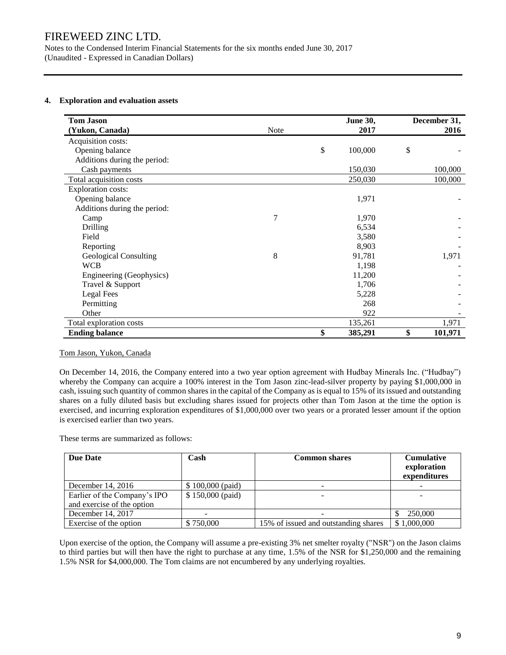Notes to the Condensed Interim Financial Statements for the six months ended June 30, 2017 (Unaudited - Expressed in Canadian Dollars)

## **4. Exploration and evaluation assets**

| <b>Tom Jason</b>             |             | <b>June 30,</b> | December 31,  |
|------------------------------|-------------|-----------------|---------------|
| (Yukon, Canada)              | <b>Note</b> | 2017            | 2016          |
| Acquisition costs:           |             |                 |               |
| Opening balance              |             | \$<br>100,000   | \$            |
| Additions during the period: |             |                 |               |
| Cash payments                |             | 150,030         | 100,000       |
| Total acquisition costs      |             | 250,030         | 100,000       |
| <b>Exploration costs:</b>    |             |                 |               |
| Opening balance              |             | 1,971           |               |
| Additions during the period: |             |                 |               |
| Camp                         | 7           | 1,970           |               |
| Drilling                     |             | 6,534           |               |
| Field                        |             | 3,580           |               |
| Reporting                    |             | 8,903           |               |
| Geological Consulting        | 8           | 91,781          | 1,971         |
| <b>WCB</b>                   |             | 1,198           |               |
| Engineering (Geophysics)     |             | 11,200          |               |
| Travel & Support             |             | 1,706           |               |
| Legal Fees                   |             | 5,228           |               |
| Permitting                   |             | 268             |               |
| Other                        |             | 922             |               |
| Total exploration costs      |             | 135,261         | 1,971         |
| <b>Ending balance</b>        |             | \$<br>385,291   | \$<br>101,971 |

### Tom Jason, Yukon, Canada

On December 14, 2016, the Company entered into a two year option agreement with Hudbay Minerals Inc. ("Hudbay") whereby the Company can acquire a 100% interest in the Tom Jason zinc-lead-silver property by paying \$1,000,000 in cash, issuing such quantity of common shares in the capital of the Company as is equal to 15% of its issued and outstanding shares on a fully diluted basis but excluding shares issued for projects other than Tom Jason at the time the option is exercised, and incurring exploration expenditures of \$1,000,000 over two years or a prorated lesser amount if the option is exercised earlier than two years.

These terms are summarized as follows:

| <b>Due Date</b>              | Cash              | <b>Common shares</b>                 | <b>Cumulative</b><br>exploration<br>expenditures |
|------------------------------|-------------------|--------------------------------------|--------------------------------------------------|
| December $14, 2016$          | $$100,000$ (paid) |                                      |                                                  |
| Earlier of the Company's IPO | $$150,000$ (paid) |                                      |                                                  |
| and exercise of the option   |                   |                                      |                                                  |
| December 14, 2017            |                   |                                      | 250,000                                          |
| Exercise of the option       | \$750,000         | 15% of issued and outstanding shares | \$1,000,000                                      |

Upon exercise of the option, the Company will assume a pre-existing 3% net smelter royalty ("NSR") on the Jason claims to third parties but will then have the right to purchase at any time, 1.5% of the NSR for \$1,250,000 and the remaining 1.5% NSR for \$4,000,000. The Tom claims are not encumbered by any underlying royalties.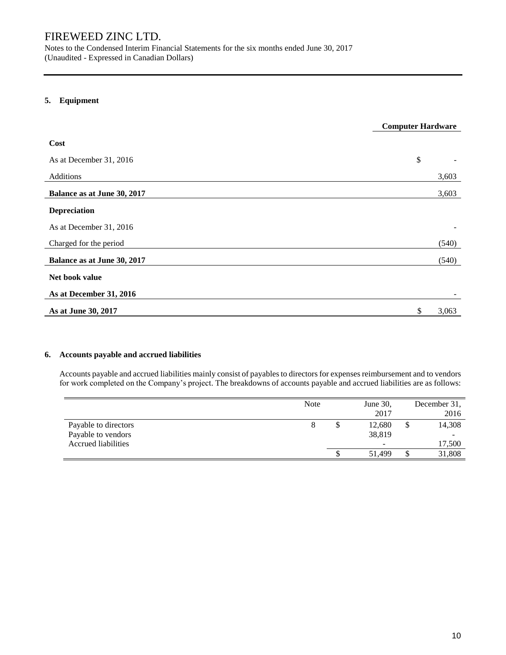Notes to the Condensed Interim Financial Statements for the six months ended June 30, 2017 (Unaudited - Expressed in Canadian Dollars)

# **5. Equipment**

|                             | <b>Computer Hardware</b> |       |
|-----------------------------|--------------------------|-------|
| Cost                        |                          |       |
| As at December 31, 2016     | \$                       |       |
| Additions                   |                          | 3,603 |
| Balance as at June 30, 2017 |                          | 3,603 |
| Depreciation                |                          |       |
| As at December 31, 2016     |                          |       |
| Charged for the period      |                          | (540) |
| Balance as at June 30, 2017 |                          | (540) |
| Net book value              |                          |       |
| As at December 31, 2016     |                          |       |
| As at June 30, 2017         | \$                       | 3,063 |

## **6. Accounts payable and accrued liabilities**

Accounts payable and accrued liabilities mainly consist of payables to directors for expenses reimbursement and to vendors for work completed on the Company's project. The breakdowns of accounts payable and accrued liabilities are as follows:

|                            | <b>Note</b> | June $30$ , |    | December 31.             |
|----------------------------|-------------|-------------|----|--------------------------|
|                            |             | 2017        |    | 2016                     |
| Payable to directors       |             | 12,680      | D. | 14,308                   |
| Payable to vendors         |             | 38,819      |    | $\overline{\phantom{0}}$ |
| <b>Accrued liabilities</b> |             | -           |    | 17,500                   |
|                            |             | 51.499      | ◡  | 31,808                   |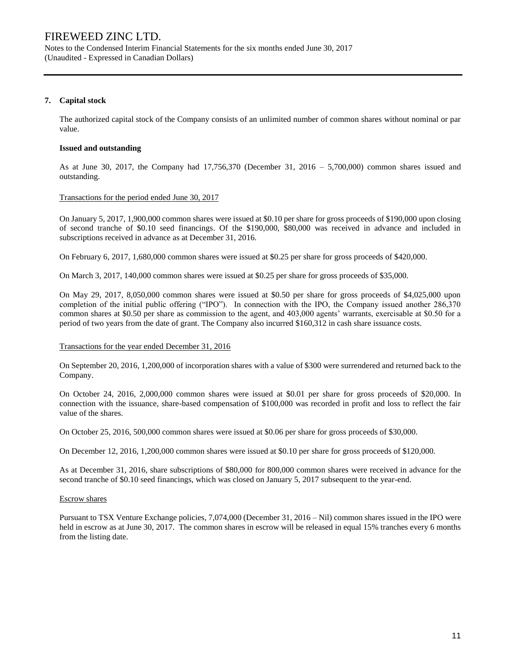Notes to the Condensed Interim Financial Statements for the six months ended June 30, 2017 (Unaudited - Expressed in Canadian Dollars)

## **7. Capital stock**

The authorized capital stock of the Company consists of an unlimited number of common shares without nominal or par value.

### **Issued and outstanding**

As at June 30, 2017, the Company had 17,756,370 (December 31, 2016 – 5,700,000) common shares issued and outstanding.

### Transactions for the period ended June 30, 2017

On January 5, 2017, 1,900,000 common shares were issued at \$0.10 per share for gross proceeds of \$190,000 upon closing of second tranche of \$0.10 seed financings. Of the \$190,000, \$80,000 was received in advance and included in subscriptions received in advance as at December 31, 2016.

On February 6, 2017, 1,680,000 common shares were issued at \$0.25 per share for gross proceeds of \$420,000.

On March 3, 2017, 140,000 common shares were issued at \$0.25 per share for gross proceeds of \$35,000.

On May 29, 2017, 8,050,000 common shares were issued at \$0.50 per share for gross proceeds of \$4,025,000 upon completion of the initial public offering ("IPO"). In connection with the IPO, the Company issued another 286,370 common shares at \$0.50 per share as commission to the agent, and 403,000 agents' warrants, exercisable at \$0.50 for a period of two years from the date of grant. The Company also incurred \$160,312 in cash share issuance costs.

#### Transactions for the year ended December 31, 2016

On September 20, 2016, 1,200,000 of incorporation shares with a value of \$300 were surrendered and returned back to the Company.

On October 24, 2016, 2,000,000 common shares were issued at \$0.01 per share for gross proceeds of \$20,000. In connection with the issuance, share-based compensation of \$100,000 was recorded in profit and loss to reflect the fair value of the shares.

On October 25, 2016, 500,000 common shares were issued at \$0.06 per share for gross proceeds of \$30,000.

On December 12, 2016, 1,200,000 common shares were issued at \$0.10 per share for gross proceeds of \$120,000.

As at December 31, 2016, share subscriptions of \$80,000 for 800,000 common shares were received in advance for the second tranche of \$0.10 seed financings, which was closed on January 5, 2017 subsequent to the year-end.

#### Escrow shares

Pursuant to TSX Venture Exchange policies, 7,074,000 (December 31, 2016 – Nil) common shares issued in the IPO were held in escrow as at June 30, 2017. The common shares in escrow will be released in equal 15% tranches every 6 months from the listing date.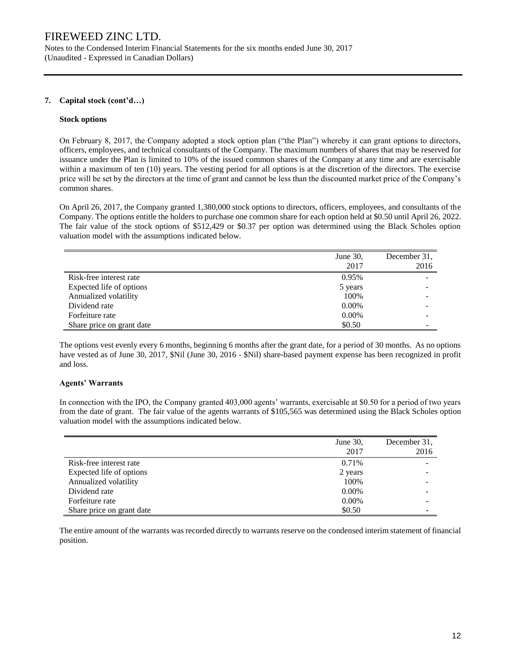Notes to the Condensed Interim Financial Statements for the six months ended June 30, 2017 (Unaudited - Expressed in Canadian Dollars)

## **7. Capital stock (cont'd…)**

### **Stock options**

On February 8, 2017, the Company adopted a stock option plan ("the Plan") whereby it can grant options to directors, officers, employees, and technical consultants of the Company. The maximum numbers of shares that may be reserved for issuance under the Plan is limited to 10% of the issued common shares of the Company at any time and are exercisable within a maximum of ten (10) years. The vesting period for all options is at the discretion of the directors. The exercise price will be set by the directors at the time of grant and cannot be less than the discounted market price of the Company's common shares.

On April 26, 2017, the Company granted 1,380,000 stock options to directors, officers, employees, and consultants of the Company. The options entitle the holders to purchase one common share for each option held at \$0.50 until April 26, 2022. The fair value of the stock options of \$512,429 or \$0.37 per option was determined using the Black Scholes option valuation model with the assumptions indicated below.

|                           | June 30, | December 31, |
|---------------------------|----------|--------------|
|                           | 2017     | 2016         |
| Risk-free interest rate   | 0.95%    |              |
| Expected life of options  | 5 years  |              |
| Annualized volatility     | 100%     |              |
| Dividend rate             | $0.00\%$ |              |
| Forfeiture rate           | 0.00%    |              |
| Share price on grant date | \$0.50   |              |

The options vest evenly every 6 months, beginning 6 months after the grant date, for a period of 30 months. As no options have vested as of June 30, 2017, \$Nil (June 30, 2016 - \$Nil) share-based payment expense has been recognized in profit and loss.

### **Agents' Warrants**

In connection with the IPO, the Company granted 403,000 agents' warrants, exercisable at \$0.50 for a period of two years from the date of grant. The fair value of the agents warrants of \$105,565 was determined using the Black Scholes option valuation model with the assumptions indicated below.

|                           | June 30, | December 31, |
|---------------------------|----------|--------------|
|                           | 2017     | 2016         |
| Risk-free interest rate   | 0.71%    |              |
| Expected life of options  | 2 years  |              |
| Annualized volatility     | 100%     |              |
| Dividend rate             | $0.00\%$ |              |
| Forfeiture rate           | $0.00\%$ |              |
| Share price on grant date | \$0.50   |              |

The entire amount of the warrants was recorded directly to warrants reserve on the condensed interim statement of financial position.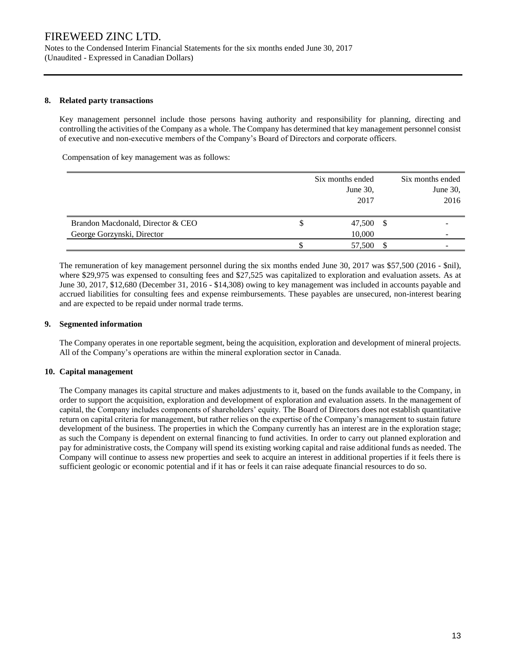Notes to the Condensed Interim Financial Statements for the six months ended June 30, 2017 (Unaudited - Expressed in Canadian Dollars)

### **8. Related party transactions**

Key management personnel include those persons having authority and responsibility for planning, directing and controlling the activities of the Company as a whole. The Company has determined that key management personnel consist of executive and non-executive members of the Company's Board of Directors and corporate officers.

Compensation of key management was as follows:

|                                   |    | Six months ended<br>June 30,<br>2017 |     | Six months ended<br>June $30$ ,<br>2016 |
|-----------------------------------|----|--------------------------------------|-----|-----------------------------------------|
| Brandon Macdonald, Director & CEO | S  | 47,500                               | -\$ |                                         |
| George Gorzynski, Director        |    | 10,000                               |     |                                         |
|                                   | Ъ. | 57,500                               |     |                                         |

The remuneration of key management personnel during the six months ended June 30, 2017 was \$57,500 (2016 - \$nil), where \$29,975 was expensed to consulting fees and \$27,525 was capitalized to exploration and evaluation assets. As at June 30, 2017, \$12,680 (December 31, 2016 - \$14,308) owing to key management was included in accounts payable and accrued liabilities for consulting fees and expense reimbursements. These payables are unsecured, non-interest bearing and are expected to be repaid under normal trade terms.

### **9. Segmented information**

The Company operates in one reportable segment, being the acquisition, exploration and development of mineral projects. All of the Company's operations are within the mineral exploration sector in Canada.

### **10. Capital management**

The Company manages its capital structure and makes adjustments to it, based on the funds available to the Company, in order to support the acquisition, exploration and development of exploration and evaluation assets. In the management of capital, the Company includes components of shareholders' equity. The Board of Directors does not establish quantitative return on capital criteria for management, but rather relies on the expertise of the Company's management to sustain future development of the business. The properties in which the Company currently has an interest are in the exploration stage; as such the Company is dependent on external financing to fund activities. In order to carry out planned exploration and pay for administrative costs, the Company will spend its existing working capital and raise additional funds as needed. The Company will continue to assess new properties and seek to acquire an interest in additional properties if it feels there is sufficient geologic or economic potential and if it has or feels it can raise adequate financial resources to do so.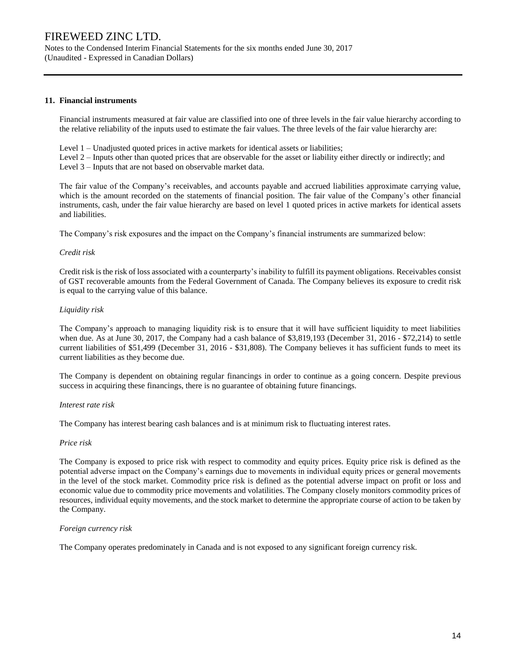Notes to the Condensed Interim Financial Statements for the six months ended June 30, 2017 (Unaudited - Expressed in Canadian Dollars)

### **11. Financial instruments**

Financial instruments measured at fair value are classified into one of three levels in the fair value hierarchy according to the relative reliability of the inputs used to estimate the fair values. The three levels of the fair value hierarchy are:

Level 1 – Unadjusted quoted prices in active markets for identical assets or liabilities;

Level 2 – Inputs other than quoted prices that are observable for the asset or liability either directly or indirectly; and Level 3 – Inputs that are not based on observable market data.

The fair value of the Company's receivables, and accounts payable and accrued liabilities approximate carrying value, which is the amount recorded on the statements of financial position. The fair value of the Company's other financial instruments, cash, under the fair value hierarchy are based on level 1 quoted prices in active markets for identical assets and liabilities.

The Company's risk exposures and the impact on the Company's financial instruments are summarized below:

### *Credit risk*

Credit risk is the risk of loss associated with a counterparty's inability to fulfill its payment obligations. Receivables consist of GST recoverable amounts from the Federal Government of Canada. The Company believes its exposure to credit risk is equal to the carrying value of this balance.

### *Liquidity risk*

The Company's approach to managing liquidity risk is to ensure that it will have sufficient liquidity to meet liabilities when due. As at June 30, 2017, the Company had a cash balance of \$3,819,193 (December 31, 2016 - \$72,214) to settle current liabilities of \$51,499 (December 31, 2016 - \$31,808). The Company believes it has sufficient funds to meet its current liabilities as they become due.

The Company is dependent on obtaining regular financings in order to continue as a going concern. Despite previous success in acquiring these financings, there is no guarantee of obtaining future financings.

#### *Interest rate risk*

The Company has interest bearing cash balances and is at minimum risk to fluctuating interest rates.

#### *Price risk*

The Company is exposed to price risk with respect to commodity and equity prices. Equity price risk is defined as the potential adverse impact on the Company's earnings due to movements in individual equity prices or general movements in the level of the stock market. Commodity price risk is defined as the potential adverse impact on profit or loss and economic value due to commodity price movements and volatilities. The Company closely monitors commodity prices of resources, individual equity movements, and the stock market to determine the appropriate course of action to be taken by the Company.

#### *Foreign currency risk*

The Company operates predominately in Canada and is not exposed to any significant foreign currency risk.